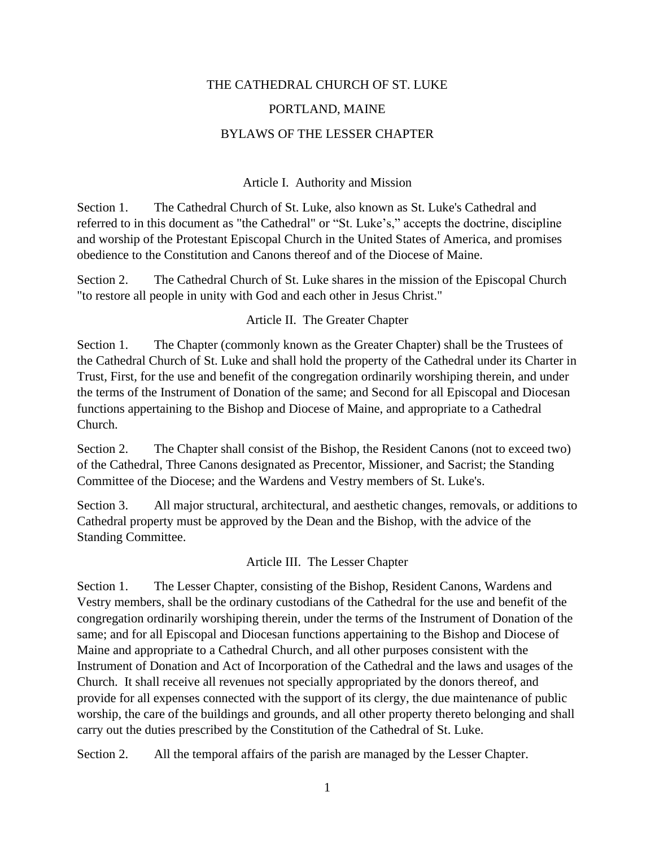# THE CATHEDRAL CHURCH OF ST. LUKE PORTLAND, MAINE BYLAWS OF THE LESSER CHAPTER

### Article I. Authority and Mission

Section 1. The Cathedral Church of St. Luke, also known as St. Luke's Cathedral and referred to in this document as "the Cathedral" or "St. Luke's," accepts the doctrine, discipline and worship of the Protestant Episcopal Church in the United States of America, and promises obedience to the Constitution and Canons thereof and of the Diocese of Maine.

Section 2. The Cathedral Church of St. Luke shares in the mission of the Episcopal Church "to restore all people in unity with God and each other in Jesus Christ."

### Article II. The Greater Chapter

Section 1. The Chapter (commonly known as the Greater Chapter) shall be the Trustees of the Cathedral Church of St. Luke and shall hold the property of the Cathedral under its Charter in Trust, First, for the use and benefit of the congregation ordinarily worshiping therein, and under the terms of the Instrument of Donation of the same; and Second for all Episcopal and Diocesan functions appertaining to the Bishop and Diocese of Maine, and appropriate to a Cathedral Church.

Section 2. The Chapter shall consist of the Bishop, the Resident Canons (not to exceed two) of the Cathedral, Three Canons designated as Precentor, Missioner, and Sacrist; the Standing Committee of the Diocese; and the Wardens and Vestry members of St. Luke's.

Section 3. All major structural, architectural, and aesthetic changes, removals, or additions to Cathedral property must be approved by the Dean and the Bishop, with the advice of the Standing Committee.

### Article III. The Lesser Chapter

Section 1. The Lesser Chapter, consisting of the Bishop, Resident Canons, Wardens and Vestry members, shall be the ordinary custodians of the Cathedral for the use and benefit of the congregation ordinarily worshiping therein, under the terms of the Instrument of Donation of the same; and for all Episcopal and Diocesan functions appertaining to the Bishop and Diocese of Maine and appropriate to a Cathedral Church, and all other purposes consistent with the Instrument of Donation and Act of Incorporation of the Cathedral and the laws and usages of the Church. It shall receive all revenues not specially appropriated by the donors thereof, and provide for all expenses connected with the support of its clergy, the due maintenance of public worship, the care of the buildings and grounds, and all other property thereto belonging and shall carry out the duties prescribed by the Constitution of the Cathedral of St. Luke.

Section 2. All the temporal affairs of the parish are managed by the Lesser Chapter.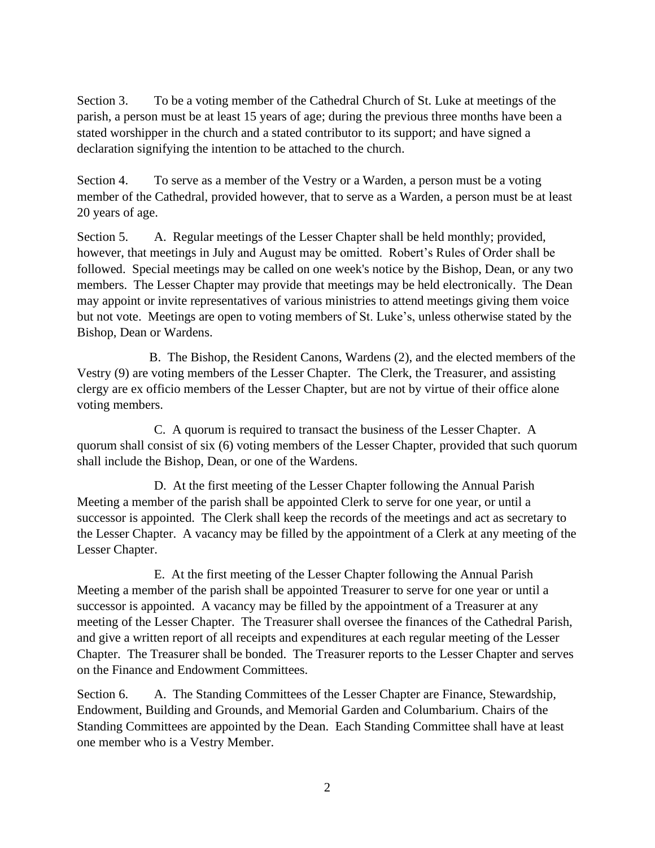Section 3. To be a voting member of the Cathedral Church of St. Luke at meetings of the parish, a person must be at least 15 years of age; during the previous three months have been a stated worshipper in the church and a stated contributor to its support; and have signed a declaration signifying the intention to be attached to the church.

Section 4. To serve as a member of the Vestry or a Warden, a person must be a voting member of the Cathedral, provided however*,* that to serve as a Warden, a person must be at least 20 years of age.

Section 5. A. Regular meetings of the Lesser Chapter shall be held monthly; provided, however, that meetings in July and August may be omitted. Robert's Rules of Order shall be followed. Special meetings may be called on one week's notice by the Bishop, Dean, or any two members. The Lesser Chapter may provide that meetings may be held electronically. The Dean may appoint or invite representatives of various ministries to attend meetings giving them voice but not vote. Meetings are open to voting members of St. Luke's, unless otherwise stated by the Bishop, Dean or Wardens.

B. The Bishop, the Resident Canons, Wardens (2), and the elected members of the Vestry (9) are voting members of the Lesser Chapter. The Clerk, the Treasurer, and assisting clergy are ex officio members of the Lesser Chapter, but are not by virtue of their office alone voting members.

C. A quorum is required to transact the business of the Lesser Chapter. A quorum shall consist of six (6) voting members of the Lesser Chapter, provided that such quorum shall include the Bishop, Dean, or one of the Wardens.

D. At the first meeting of the Lesser Chapter following the Annual Parish Meeting a member of the parish shall be appointed Clerk to serve for one year, or until a successor is appointed. The Clerk shall keep the records of the meetings and act as secretary to the Lesser Chapter. A vacancy may be filled by the appointment of a Clerk at any meeting of the Lesser Chapter.

E. At the first meeting of the Lesser Chapter following the Annual Parish Meeting a member of the parish shall be appointed Treasurer to serve for one year or until a successor is appointed. A vacancy may be filled by the appointment of a Treasurer at any meeting of the Lesser Chapter. The Treasurer shall oversee the finances of the Cathedral Parish, and give a written report of all receipts and expenditures at each regular meeting of the Lesser Chapter. The Treasurer shall be bonded. The Treasurer reports to the Lesser Chapter and serves on the Finance and Endowment Committees.

Section 6. A. The Standing Committees of the Lesser Chapter are Finance, Stewardship, Endowment, Building and Grounds, and Memorial Garden and Columbarium. Chairs of the Standing Committees are appointed by the Dean. Each Standing Committee shall have at least one member who is a Vestry Member.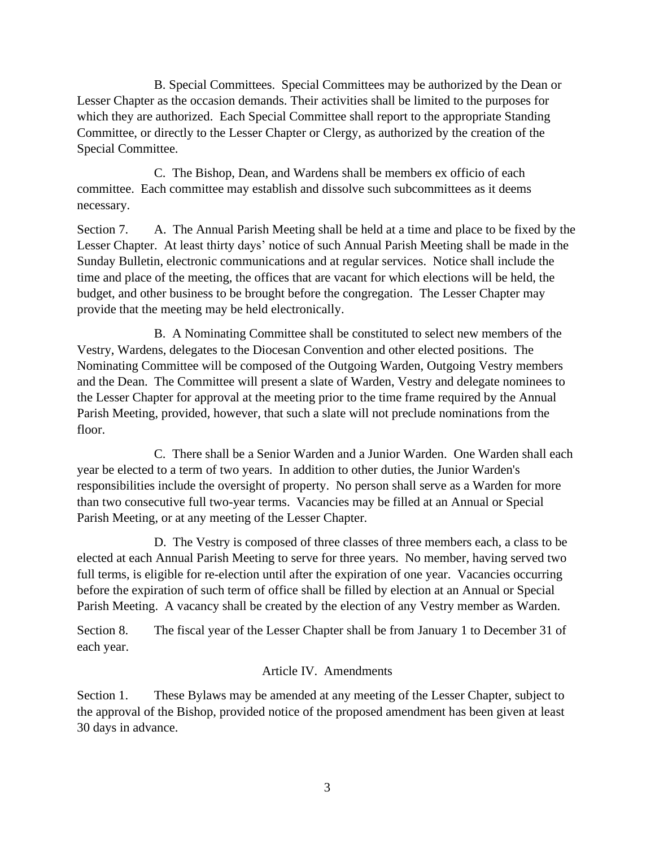B. Special Committees. Special Committees may be authorized by the Dean or Lesser Chapter as the occasion demands. Their activities shall be limited to the purposes for which they are authorized. Each Special Committee shall report to the appropriate Standing Committee, or directly to the Lesser Chapter or Clergy, as authorized by the creation of the Special Committee.

C. The Bishop, Dean, and Wardens shall be members ex officio of each committee. Each committee may establish and dissolve such subcommittees as it deems necessary.

Section 7. A. The Annual Parish Meeting shall be held at a time and place to be fixed by the Lesser Chapter. At least thirty days' notice of such Annual Parish Meeting shall be made in the Sunday Bulletin, electronic communications and at regular services. Notice shall include the time and place of the meeting, the offices that are vacant for which elections will be held, the budget, and other business to be brought before the congregation. The Lesser Chapter may provide that the meeting may be held electronically.

B. A Nominating Committee shall be constituted to select new members of the Vestry, Wardens, delegates to the Diocesan Convention and other elected positions. The Nominating Committee will be composed of the Outgoing Warden, Outgoing Vestry members and the Dean. The Committee will present a slate of Warden, Vestry and delegate nominees to the Lesser Chapter for approval at the meeting prior to the time frame required by the Annual Parish Meeting, provided, however, that such a slate will not preclude nominations from the floor.

C. There shall be a Senior Warden and a Junior Warden. One Warden shall each year be elected to a term of two years. In addition to other duties, the Junior Warden's responsibilities include the oversight of property. No person shall serve as a Warden for more than two consecutive full two-year terms. Vacancies may be filled at an Annual or Special Parish Meeting, or at any meeting of the Lesser Chapter.

D. The Vestry is composed of three classes of three members each, a class to be elected at each Annual Parish Meeting to serve for three years. No member, having served two full terms, is eligible for re-election until after the expiration of one year. Vacancies occurring before the expiration of such term of office shall be filled by election at an Annual or Special Parish Meeting. A vacancy shall be created by the election of any Vestry member as Warden.

Section 8. The fiscal year of the Lesser Chapter shall be from January 1 to December 31 of each year.

## Article IV. Amendments

Section 1. These Bylaws may be amended at any meeting of the Lesser Chapter, subject to the approval of the Bishop, provided notice of the proposed amendment has been given at least 30 days in advance.